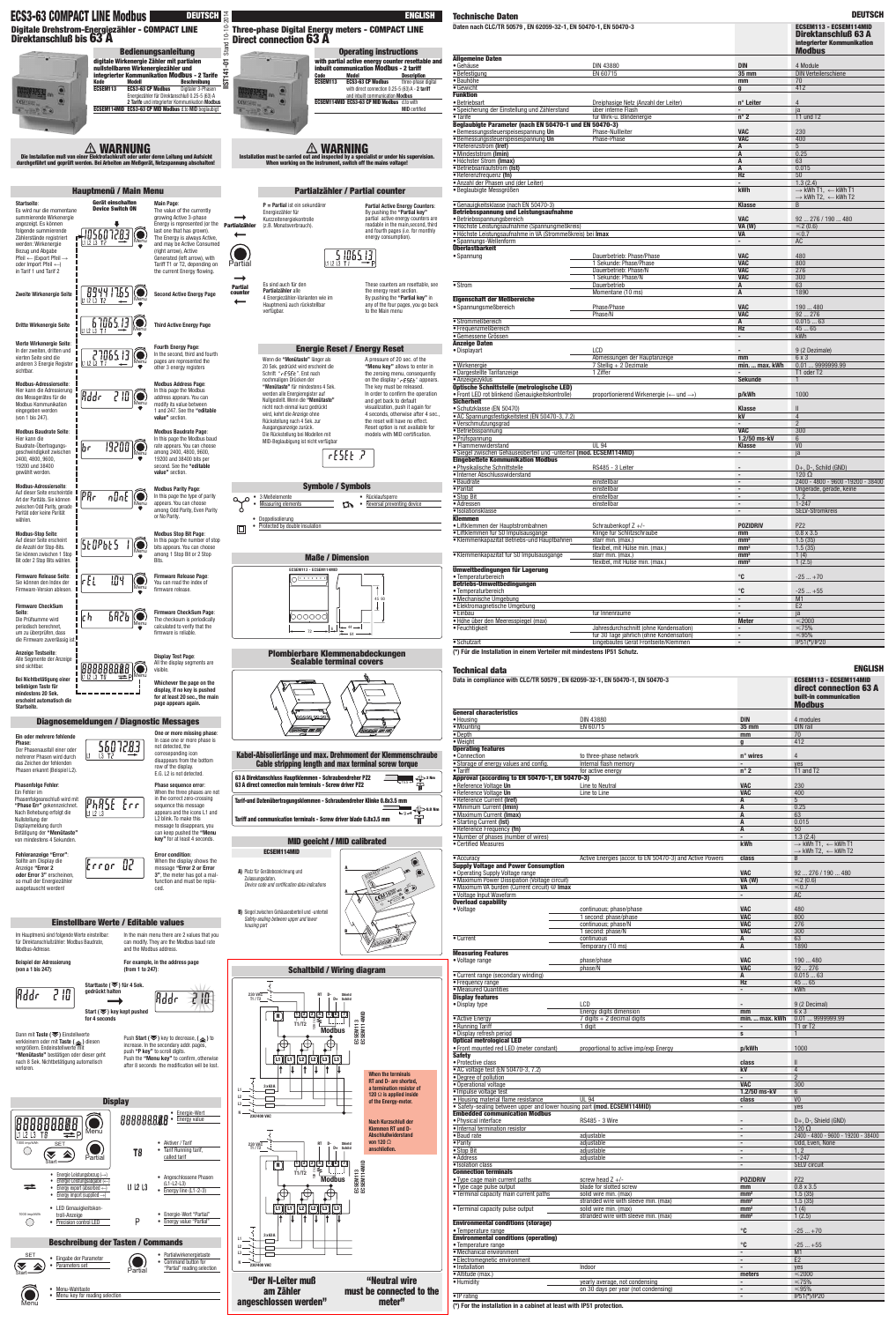**Direct connection 63 A**

និ  $\overline{P}$ 

**CEMTAL** 

**with partial active energy counter resettable and inbuilt communication Modbus - 2 tariff Code Model Description ECSEM113 ECS3-63 CP Modbus** three-phase digital with direct connection 0.25-5 (63) A - **2 tariff** and inbuilt communication **Modbus ECSEM114MID ECS3-63 CP MID Modbus** d.to with



**MID** certified

**Operating instructions**

**ENGLISH**



Alle Segmente der Anzeige

sind sichtbar.

|                                                                                                                                                                                                                                                                                                 | Hauptmenü / Main Menu                                                          |                                                                                                                                                                                                                                                                                                                         |                                 |                                                                                                            |
|-------------------------------------------------------------------------------------------------------------------------------------------------------------------------------------------------------------------------------------------------------------------------------------------------|--------------------------------------------------------------------------------|-------------------------------------------------------------------------------------------------------------------------------------------------------------------------------------------------------------------------------------------------------------------------------------------------------------------------|---------------------------------|------------------------------------------------------------------------------------------------------------|
| Startseite:<br>Es wird nur die momentane<br>summierende Wirkenergie<br>angezeigt. Es können<br>folgende summierende<br>Zählerstände registriert<br>werden: Wirkenergie<br>Bezug und Abgabe<br>Pfeil ← (Export Pfeil $\rightarrow$<br>oder Import Pfeil $\leftarrow$ )<br>in Tarif 1 und Tarif 2 | Gerät einschalten<br><b>Device Switch ON</b><br>1056072<br>Menu<br>L1 L2 L3 T2 | Main Page:<br>The value of the currently<br>growing Active 3-phase<br>Energy is represented (or the<br>last one that has grown).<br>The Energy is always Active,<br>and may be Active Consumed<br>(right arrow), Active<br>Generated (left arrow), with<br>Tariff T1 or T2, depending on<br>the current Energy flowing. | <b>Partialzähler</b><br>Partial | P = Partial<br>Energiezäh<br>Kurzzeitene<br>(z.B. Monat                                                    |
| Zweite Wirkenergie Seite                                                                                                                                                                                                                                                                        | 8944<br>1755<br>11 12 13 T2<br>Menu                                            | <b>Second Active Energy Page</b>                                                                                                                                                                                                                                                                                        | <b>Partial</b><br>counter       | Es sind auc<br>Partialzähl<br>4 Energieza<br>Hauptmenü                                                     |
| <b>Dritte Wirkenergie Seite</b>                                                                                                                                                                                                                                                                 | 7065.13<br>Menū                                                                | <b>Third Active Energy Page</b>                                                                                                                                                                                                                                                                                         |                                 | verfügbar.                                                                                                 |
| Vierte Wirkenergie Seite:<br>In der zweiten, dritten und<br>vierten Seite sind die<br>anderen 3 Energie Register<br>sichtbar.                                                                                                                                                                   | 27065.<br>Menu                                                                 | <b>Fourth Energy Page:</b><br>In the second, third and fourth<br>pages are represented the<br>other 3 energy registers                                                                                                                                                                                                  |                                 | Wenn die "N<br>20 Sek. ged<br>Schrift "rE                                                                  |
| Modbus-Adressierseite:<br>Hier kann die Adressierung<br>des Messgerätes für die<br><b>Modbus Kommunikation</b><br>eingegeben werden<br>(von 1 bis 247).                                                                                                                                         | .<br>Rddr<br>2<br>把<br>Menu                                                    | <b>Modbus Address Page:</b><br>In this page the Modbus<br>address appears. You can<br>modify its value between<br>1 and 247. See the "editable<br>value" section.                                                                                                                                                       |                                 | nochmaliger<br>"Menütaste<br>werden alle<br>Nullgestellt.<br>nicht noch e<br>wird, kehrt o<br>Rückstellung |
| <b>Modbus Baudrate Seite:</b><br>Hier kann die<br>Baudrate-Übertragungs-<br>geschwindigkeit zwischen<br>2400, 4800, 9600,<br>19200 und 38400<br>gewählt werden.                                                                                                                                 | 19200<br>br<br>Menu                                                            | <b>Modbus Baudrate Page:</b><br>In this page the Modbus baud<br>rate appears. You can choose<br>among 2400, 4800, 9600,<br>19200 and 38400 bits per<br>second. See the "editable"<br>value" section.                                                                                                                    |                                 | Ausgangsan<br>Die Rückste<br>MID-Beglaul                                                                   |
| <b>Modbus-Adressierseite:</b><br>Auf dieser Seite erscheintdie<br>Art der Paritäts. Sie können<br>zwischen Odd Parity, gerade<br>Parität oder keine Parität<br>wählen.                                                                                                                          | PRr<br>ი¦ი£<br>Menu                                                            | <b>Modbus Parity Page:</b><br>In this page the type of parity<br>appears. You can choose<br>among Odd Parity, Even Parity<br>or No Parity.                                                                                                                                                                              |                                 | 3 Meßelemer<br>Measuring el<br>Doppelisolieru                                                              |
| <b>Modbus-Stop Seite:</b><br>Auf dieser Seite erscheint<br>die Anzahl der Stop-Bits.<br>Sie können zwischen 1 Stop<br>Bit oder 2 Stop Bits wählen.                                                                                                                                              | St0Pbt5<br>Menu                                                                | <b>Modbus Stop Bit Page:</b><br>In this page the number of stop<br>bits appears. You can choose<br>among 1 Stop Bit or 2 Stop<br>Bits.                                                                                                                                                                                  |                                 | Protected by                                                                                               |
| <b>Firmware Release Seite:</b><br>Sie können den Index der<br>Firmware-Version ablesen.                                                                                                                                                                                                         | 104<br>$\mathsf{r}\mathsf{t}\mathsf{t}$<br>Menu                                | Firmware Release Page:<br>You can read the index of<br>firmware release.                                                                                                                                                                                                                                                |                                 |                                                                                                            |
| <b>Firmware CheckSum</b><br>Seite:<br>Die Prüfsumme wird<br>periodisch berechnet,<br>um zu überprüfen, dass<br>die Firmware zuverlässig ist.                                                                                                                                                    | 6826<br>լ ի<br>Menu                                                            | <b>Firmware CheckSum Page:</b><br>The checksum is periodically<br>calculated to verify that the<br>firmware is reliable.                                                                                                                                                                                                |                                 |                                                                                                            |
| <b>Anzeige Testseite:</b><br>Allo Coamonto dor Anzoian                                                                                                                                                                                                                                          |                                                                                | <b>Display Test Page:</b>                                                                                                                                                                                                                                                                                               |                                 | Plom                                                                                                       |



| deren Leitung und Aufsicht<br>t, Netzspannung abschalten!                                                                                                                                             |                           | <b>WARNING</b><br>Installation must be carried out and inspected by a specialist or under his supervision.<br>When working on the instrument, switch off the mains voltage!                                                              |                                                                                                                                                                                                                                              |  |
|-------------------------------------------------------------------------------------------------------------------------------------------------------------------------------------------------------|---------------------------|------------------------------------------------------------------------------------------------------------------------------------------------------------------------------------------------------------------------------------------|----------------------------------------------------------------------------------------------------------------------------------------------------------------------------------------------------------------------------------------------|--|
|                                                                                                                                                                                                       |                           |                                                                                                                                                                                                                                          |                                                                                                                                                                                                                                              |  |
| enu                                                                                                                                                                                                   |                           | Partialzähler / Partial counter                                                                                                                                                                                                          |                                                                                                                                                                                                                                              |  |
| <b>Main Page:</b><br>The value of the currently<br>growing Active 3-phase<br>Energy is represented (or the<br>last one that has grown).<br>The Energy is always Active,<br>and may be Active Consumed | <b>Partialzähler</b>      | $P =$ Partial ist ein sekundärer<br>Energiezähler für<br>Kurzzeitenergiekontrolle<br>(z.B. Monatsverbrauch).                                                                                                                             | <b>Partial Active Energy Counters:</b><br>By pushing the "Partial key"<br>partial active energy counters are<br>readable in the main, second, third<br>and fourth pages (i.e. for monthly<br>energy consumption).                            |  |
| (right arrow), Active<br>Generated (left arrow), with<br>Tariff T1 or T2, depending on<br>the current Energy flowing.                                                                                 | Partial                   | 5,1065.13<br>L1 L2 L3                                                                                                                                                                                                                    |                                                                                                                                                                                                                                              |  |
| <b>Second Active Energy Page</b>                                                                                                                                                                      | <b>Partial</b><br>counter | Es sind auch für den<br>Partialzähler alle<br>4 Energiezähler-Varianten wie im<br>Hauptmenü auch rückstellbar<br>verfügbar.                                                                                                              | These counters are resettable, see<br>the energy reset section.<br>By pushing the "Partial key" in<br>any of the four pages, you go back<br>to the Main menu                                                                                 |  |
| <b>Third Active Energy Page</b>                                                                                                                                                                       |                           |                                                                                                                                                                                                                                          |                                                                                                                                                                                                                                              |  |
| <b>Fourth Energy Page:</b>                                                                                                                                                                            |                           | <b>Energie Reset / Energy Reset</b>                                                                                                                                                                                                      |                                                                                                                                                                                                                                              |  |
| In the second, third and fourth<br>pages are represented the<br>other 3 energy registers                                                                                                              |                           | Wenn die "Menütaste" länger als<br>20 Sek. gedrückt wird erscheint die<br>Schrift "rESEE". Erst nach                                                                                                                                     | A pressure of 20 sec. of the<br>"Menu key" allows to enter in<br>the zeroing menu, consequently                                                                                                                                              |  |
| <b>Modbus Address Page:</b><br>In this page the Modbus<br>address appears. You can<br>modify its value between<br>1 and 247. See the "editable<br>value" section.                                     |                           | nochmaligen Drücken der<br>"Menütaste" für mindestens 4 Sek.<br>werden alle Energieregister auf<br>Nullgestellt. Wenn die "Menütaste"<br>nicht noch einmal kurz gedrückt<br>wird, kehrt die Anzeige ohne<br>Rückstellung nach 4 Sek. zur | on the display " $r$ ESEE" appears.<br>The key must be released.<br>In order to confirm the operation<br>and get back to default<br>visualization, push it again for<br>4 seconds, otherwise after 4 sec.,<br>the reset will have no effect. |  |
| <b>Modbus Baudrate Page:</b><br>In this page the Modbus baud<br>rate appears. You can choose<br>among 2400, 4800, 9600,<br>19200 and 38400 bits per<br>second. See the "editable<br>value" section.   |                           | Ausgangsanzeige zurück.<br>Die Rückstellung bei Modellen mit<br>MID-Beglaubigung ist nicht verfügbar<br>-{5{է 7                                                                                                                          | Reset option is not available for<br>models with MID certification.                                                                                                                                                                          |  |
| <b>Modbus Parity Page:</b>                                                                                                                                                                            |                           | <b>Symbole / Symbols</b>                                                                                                                                                                                                                 |                                                                                                                                                                                                                                              |  |
| In this page the type of parity<br>appears. You can choose<br>among Odd Parity, Even Parity<br>or No Parity.                                                                                          |                           | 3 Meßelemente<br><b>Measuring elements</b><br>$\mathbf{D}$                                                                                                                                                                               | Rücklaufsperre<br>Reversal preventing device                                                                                                                                                                                                 |  |
|                                                                                                                                                                                                       |                           | Doppelisolierung<br>Protected by double insulation                                                                                                                                                                                       |                                                                                                                                                                                                                                              |  |
| <b>Modbus Stop Bit Page:</b><br>In this page the number of stop<br>bits appears. You can choose                                                                                                       |                           |                                                                                                                                                                                                                                          |                                                                                                                                                                                                                                              |  |
| among 1 Stop Bit or 2 Stop<br>Bits.                                                                                                                                                                   | <b>Maße / Dimension</b>   |                                                                                                                                                                                                                                          |                                                                                                                                                                                                                                              |  |
| <b>Firmware Release Page:</b><br>You can read the index of<br>firmware release.                                                                                                                       |                           | ECSEM113 - ECSEM114MID                                                                                                                                                                                                                   | 45 90                                                                                                                                                                                                                                        |  |
| <b>Firmware CheckSum Page:</b><br>The checksum is periodically<br>calculated to verify that the<br>firmware is reliable.                                                                              |                           | 00000<br>6<br>64                                                                                                                                                                                                                         |                                                                                                                                                                                                                                              |  |
| <b>Display Test Page:</b>                                                                                                                                                                             |                           |                                                                                                                                                                                                                                          |                                                                                                                                                                                                                                              |  |
| All the display segments are<br>visible.                                                                                                                                                              |                           | Plombierbare Klemmenabdeckungen<br>Sealable terminal covers                                                                                                                                                                              |                                                                                                                                                                                                                                              |  |
|                                                                                                                                                                                                       |                           |                                                                                                                                                                                                                                          |                                                                                                                                                                                                                                              |  |

**ECS3-63 COMPACT LINE MOdbus DEUTSCH**<br> **ENGLISH Technische Daten Deutsche Daten DEUTSCH DEUTSCH DEUTSCH DEUTSCH DEUTSCH DEUTSCH DEUTSCH DEUTSCH DEUTSCH Deutsche Daten DEUTSCH Deutsche Daten** Daten nach CLC/TR 50579, EN 62059-32-1, EN 50470-1, EN 50470-3 **Direktanschluß 63 A integrierter Kommunikation Modbus Allgemeine Daten** • Gehäuse DIN 43880 **DIN** 4 Module • Befestigung EN 60715 **35 mm** DIN Verteilerschiene • Bauhöhe **mm** 70 • Gewicht **g** 412 **Funktion**<br>• Betriebsart • Betriebsart Dreiphasige Netz (Anzahl der Leiter) **n° Leiter** 4 • Speicherung der Einstellung und Zählerstand über interne Flash **-** ja für Wirk-u. Blindenergie **Beglaubigte Parameter (nach EN 50470-1 und EN 50470-3)** • Bemessungssteuerspeisespannung **Un** Phase-Nullleiter **VAC** 230  $\bullet$  Bemessungssteuerspeisespannung Un • Referenzstrom **(Iref) A** 5 • Mindeststrom (Imin) **A** • Höchster Strom **(Imax) A** 63 • Betriebsanlaufstrom **(Ist) A** 0.015 • Referenzfrequenz **(fn) Hz** 50 • Anzahl der Phasen und (der Leiter) **-** 1.3 (2.4)  $\bullet$  Beglaubigte Messgrößen  $\rightarrow$  kWh T1,  $\leftarrow$  kWh T1  $\rightarrow$  kWh T2,  $\leftarrow$  kWh T2 • Genauigkeitsklasse (nach EN 50470-3) **Klasse** B **Betriebsspannung und Leistungsaufnahme** • Betriebsspannungsbereich **VAC** 92 ... 276 / 190 ... 480 • Höchste Leistungsaufnahme (Spannungmeßkreis) **VA (W)** -2 (0.6) • Höchste Leistungsaufnahme in VA (Strommeßkreis) bei **Imax VA** - $0.7$ • Spannungs-Wellenform **-** ACC **-** ACC **-** ACC **-** ACC **-** ACC **-** ACC **-** ACC **-** ACC **-** ACC **-** ACC **-** ACC **-** ACC **-** ACC **-** ACC **-** ACC **-** ACC **-** ACC **-** ACC **-** ACC **-** ACC **-** ACC **-** ACC **-** ACC **-** ACC **-** ACC **Überlastbarkeit** • Spannung Dauerbetrieb: Phase/Phase **VAC** 480 1 Sekunde: Phase/Phase **VAC** 800 Dauerbetrieb: Phase/N **VAC** 276 1 Sekunde: Phase/N • Strom Dauerbetrieb **A** 63 Momentane (10 ms) **A** 1890 **Eigenschaft der Meßbereiche** • Spannungsmeßbereich Phase/Phase **VAC** 190 ... 480 Phase/N **VAC** 92 ... 276 • Strommeßbereich **A** 0.015 ... 63 • Frequenzmeßbereich **Hz** 45 ... 65 **• Gemessene Grössen -**  $\overline{a}$  **- https://whicharmore.org/waters/senetry/energy-Anzeige Daten** • Displayart LCD **-** 9 (2 Dezimale) Abmessungen der Hauptanzeige **mm** 6 x 3 • Wirkenergie 7 Stellig + 2 Dezimale<br>
• Dargestellte Tarifanzeige 7 ... 1 2016 • Dargestellte Tarifanzeige 1 Ziffer **-** T1 oder T2 **• Anzeigezyklus Optische Schnittstelle (metrologische LED)** • Front LED rot blinkend (Genauigkeitskontrolle) proportionierend Wirkenergie ( $\leftarrow$  und  $\rightarrow$ ) ) **p/kWh** 1000 **Sicherheit • Schutzklasse (EN 50470) Klasse** • AC Spannungsfestigkeitstest (EN 50470-3, 7.2) **kV** 4 • Verschmutzungsgrad **-** 2 • Betriebsspannung **VAC** 300 • Prüfspannung **1.2/50 ms-kV** 6 • Flammenwiderstand UL 94 **Klasse** V0 • Siegel zwischen Gehäuseoberteil und -unterteil **(mod. ECSEM114MID) -** ja **Eingebettete Kommunikation Modbus** • Physikalische Schnittstelle RS485 - 3 Leiter **-** D+, D-, Schild (GND) • Interner Abschlusswiderstand **-** 120 Ω • Baudrate einstellbar **-** 2400 - 4800 - 9600 -19200 - 38400 • Parität einstellbar **-** Ungerade, gerade, keine • Stop Bit einstellbar **-** 1, 2 • Adressen einstellbar **-** 1-247 • Isolationsklasse **-** SELV-Stromkreis **Klemmen** • Liftklemmen der Hauptstrombahnen Schraubenkopf Z +/- **POZIDRIV** PZ2 • Liftklemmen für S0 Impulsausgänge Klinge für Schlitzschraube **mm** 0.8 x 3.5 • Klemmenkapazität Betriebs-und Hauptbahnen starr min. (max.) **mm2** 1.5 (35) flexibel, mit Hülse min. (max.) **mm<sup>2</sup>** 1.5 (35) 1.5 (35) 1.5 (35) 1.5 (35) 1.5 (35) 1.5 (35) 1.5 (35) 1.5 (35) 1.5 (35) 3.5 (35) 3.5 (35) 3.5 (35) 3.5 (35) 3.5 (35) 3.5 (35) 3.5 (35) 3.5 (35) 3.5 (35) 3.5 (35) 3.5 (35) 3. • Klemmenkapazität für S0 Impulsausgänge starr min. (max.) **mm<sup>2</sup> 1 (4)**<br>
flexibel, mit Hülse min. (max.) **mm<sup>2</sup> 1** (2.5) flexibel, mit Hülse min. (max.) **Umweltbedingungen für Lagerung** • Temperaturbereich **°C** -25 ... +70 **Betriebs-Umweltbedingungen** • Temperaturbereich **°C** -25 ... +55 **• Mechanische Umgebung <b>- -** *- - - - - - - - - - - - - - - - - - - - - - - - - - - - - -* • Elektromagnetische Umgebung **-** E2 • Einbau für Innenräume **-** ja  $\overline{\bullet}$  Höhe über den Meeresspiegel (max)<br>  $\overline{\bullet}$  Feuchtigkeit  $\leq$  2000 Jahresdurchschnitt (ohne Kondensation) **-** $\leq 75\%$ für 30 Tage jährlich (ohne Kondensation) **-** -95% • Schutzart Eingebautes Gerät Frontseite/Klemmen **-** IP51(**\***)/IP20 **(\*) Für die Installation in einem Verteiler mit mindestens IP51 Schutz.**

**Digitale Drehstrom-Energiezähler - COMPACT LINE Direktanschluß bis 63 A**

> $\mathbf{C}$  $\bullet$

 $0.7000000$ 

**digitale Wirkenergie Zähler mit partialen nullstellbaren Wirkenergiezähler und integrierter Kommunikation Modbus - 2 Tarife Kode Modell Beschreibung ECSEM113 ECS3-63 CP Modbus** Digitaler 3-Phasen Energiezähler für Direktanschluß 0.25-5 (63) A **2 Tarife** und integrierter Kommunikation **Modbus ECSEM114MID ECS3-63 CP MID Modbus** d.to **MID** beglaubigt **Bedienungsanleitung**

| лыэ                                                | <b>Technical data</b>                                                                                           |                                                          |                                          | <b>ENGLISH</b>                                                                                     |
|----------------------------------------------------|-----------------------------------------------------------------------------------------------------------------|----------------------------------------------------------|------------------------------------------|----------------------------------------------------------------------------------------------------|
| È.                                                 | Data in compliance with CLC/TR 50579, EN 62059-32-1, EN 50470-1, EN 50470-3                                     |                                                          |                                          | <b>ECSEM113 - ECSEM114MID</b><br>direct connection 63 A<br>built-in communication<br><b>Modbus</b> |
|                                                    | <b>General characteristics</b>                                                                                  |                                                          |                                          |                                                                                                    |
|                                                    | • Housing                                                                                                       | <b>DIN 43880</b>                                         | <b>DIN</b>                               | 4 modules                                                                                          |
| BIBIBID BIRI BA                                    | • Mounting                                                                                                      | EN 60715                                                 | <b>35 mm</b>                             | DIN rail                                                                                           |
|                                                    | $\overline{\bullet}$ Depth<br>• Weight                                                                          |                                                          | mm                                       | 70<br>412                                                                                          |
|                                                    | <b>Operating features</b>                                                                                       |                                                          | $\mathbf{q}$                             |                                                                                                    |
| <b>it der Klemmenschraube</b>                      | • Connection                                                                                                    | to three-phase network                                   | n° wires                                 | $\overline{4}$                                                                                     |
| inal screw torque                                  | · Storage of energy values and config.                                                                          | Internal flash memory                                    | $\blacksquare$                           | yes                                                                                                |
|                                                    | $\bullet$ Tariff                                                                                                | for active energy                                        | $n^{\circ}$ 2                            | T1 and T2                                                                                          |
| 22<br>∜>≥Nm<br>नि                                  | Approval (according to EN 50470-1, EN 50470-3)                                                                  |                                                          |                                          |                                                                                                    |
| $-15.5 -$                                          | · Reference Voltage Un                                                                                          | Line to Neutral                                          | <b>VAC</b>                               | 230                                                                                                |
|                                                    | · Reference Voltage Un                                                                                          | Line to Line                                             | <b>VAC</b>                               | 400                                                                                                |
| Klinke 0.8x3.5 mm                                  | · Reference Current (Iref)                                                                                      |                                                          | A                                        | $5\overline{)}$                                                                                    |
| $\bigoplus$ 0.8 Nm<br>$\leftarrow$ g $\rightarrow$ | • Minimum Current (Imin)<br>• Maximum Current (Imax)                                                            |                                                          | A                                        | 0.25                                                                                               |
| 當<br>).8x3.5 mm                                    | • Starting Current (Ist)                                                                                        |                                                          | A<br>A                                   | 63<br>0.015                                                                                        |
|                                                    | • Reference Frequency (fn)                                                                                      |                                                          | A                                        | 50                                                                                                 |
|                                                    | • Number of phases (number of wires)                                                                            |                                                          | $\blacksquare$                           | 1.3(2.4)                                                                                           |
| brated                                             | • Certified Measures                                                                                            |                                                          | kWh                                      | $\rightarrow$ kWh T1, $\leftarrow$ kWh T1                                                          |
|                                                    |                                                                                                                 |                                                          |                                          | $\rightarrow$ kWh T2, $\leftarrow$ kWh T2                                                          |
|                                                    | • Accuracy                                                                                                      | Active Energies (accor. to EN 50470-3) and Active Powers | class                                    | B                                                                                                  |
| Menu                                               | <b>Supply Voltage and Power Consumption</b>                                                                     |                                                          |                                          |                                                                                                    |
| $\mathcal{R}$<br>CS3-63 CF                         | . Operating Supply Voltage range                                                                                |                                                          | <b>VAC</b>                               | 92  276 / 190  480                                                                                 |
|                                                    | • Maximum Power Dissipation (Voltage circuit)                                                                   |                                                          | <b>VA (W)</b>                            | ≤2(0.6)                                                                                            |
| CENTARY NEWS COMPANY                               | • Maximum VA burden (Current circuit) @ Imax                                                                    |                                                          | <b>VA</b>                                | $≤0.7$                                                                                             |
|                                                    | • Voltage Input Waveform<br><b>Overload capability</b>                                                          |                                                          | $\sim$                                   | <b>AC</b>                                                                                          |
|                                                    | · Voltage                                                                                                       | continuous; phase/phase                                  | <b>VAC</b>                               | 480                                                                                                |
|                                                    |                                                                                                                 | 1 second: phase/phase                                    | <b>VAC</b>                               | 800                                                                                                |
|                                                    |                                                                                                                 | continuous; phase/N                                      | <b>VAC</b>                               | $\overline{276}$                                                                                   |
|                                                    |                                                                                                                 | 1 second: phase/N                                        | <b>VAC</b>                               | 300                                                                                                |
|                                                    | • Current                                                                                                       | continuous                                               | A                                        | 63                                                                                                 |
|                                                    |                                                                                                                 | Temporary (10 ms)                                        | A                                        | 1890                                                                                               |
|                                                    | <b>Measuring Features</b>                                                                                       |                                                          |                                          |                                                                                                    |
|                                                    | • Voltage range                                                                                                 | phase/phase                                              | <b>VAC</b><br><b>VAC</b>                 | 190  480<br>92276                                                                                  |
| agram                                              | • Current range (secondary winding)                                                                             | phase/N                                                  | A                                        | 0.01563                                                                                            |
|                                                    | • Frequency range                                                                                               |                                                          | <b>Hz</b>                                | 4565                                                                                               |
|                                                    | • Measured Quantities                                                                                           |                                                          | $\blacksquare$                           | kWh                                                                                                |
|                                                    | <b>Display features</b>                                                                                         |                                                          |                                          |                                                                                                    |
|                                                    | • Display type                                                                                                  | LCD                                                      | $\blacksquare$                           | 9 (2 Decimal)                                                                                      |
|                                                    |                                                                                                                 | Energy digits dimension                                  | mm                                       | 6 x 3                                                                                              |
|                                                    | • Active Energy                                                                                                 | 7 digits $+ 2$ decimal digits                            | min.  max. kWh                           | 0.019999999.99                                                                                     |
|                                                    | • Running Tariff                                                                                                | 1 digit                                                  | $\overline{\phantom{a}}$                 | T1 or T2                                                                                           |
|                                                    | · Display refresh period<br><b>Optical metrological LED</b>                                                     |                                                          | S                                        |                                                                                                    |
|                                                    | • Front mounted red LED (meter constant)                                                                        | proportional to active imp/exp Energy                    | p/kWh                                    | 1000                                                                                               |
|                                                    | <b>Safety</b>                                                                                                   |                                                          |                                          |                                                                                                    |
|                                                    | · Protective class                                                                                              |                                                          | class                                    | $\parallel$                                                                                        |
|                                                    | • AC voltage test (EN 50470-3, 7.2)                                                                             |                                                          | kV                                       | $\overline{4}$                                                                                     |
| When the terminals<br>RT and D- are shorted,       | • Degree of pollution                                                                                           |                                                          | $\sim$                                   | $\overline{2}$                                                                                     |
| a termination resistor of                          | • Operational voltage                                                                                           |                                                          | <b>VAC</b>                               | 300                                                                                                |
| 120 $\Omega$ is applied inside                     | · Impulse voltage test                                                                                          |                                                          | 1.2/50 ms-kV                             | $6\,$                                                                                              |
| of the Energy-meter.                               | • Housing material flame resistance<br>• Safety-sealing between upper and lower housing part (mod. ECSEM114MID) | <b>UL 94</b>                                             | class                                    | $\overline{V}$                                                                                     |
|                                                    | <b>Embedded communication Modbus</b>                                                                            |                                                          | $\overline{\phantom{a}}$                 | yes                                                                                                |
| <b>Nach Kurzschluß der</b>                         | • Physical interface                                                                                            | RS485 - 3 Wire                                           | $\overline{\phantom{a}}$                 | $D+$ , $D-$ , Shield (GND)                                                                         |
| <b>Klemmen RT und D-</b>                           | · Internal termination resistor                                                                                 |                                                          | $\overline{\phantom{a}}$                 | 120 $\Omega$                                                                                       |
| <b>Abschlußwiderstand</b>                          | • Baud rate                                                                                                     | adjustable                                               | $\overline{\phantom{a}}$                 | 2400 - 4800 - 9600 - 19200 - 38400                                                                 |
| von 120 $\Omega$                                   | • Parity                                                                                                        | adjustable                                               | $\overline{\phantom{a}}$                 | Odd, Even, None                                                                                    |
| anschließen.                                       | · Stop Bit                                                                                                      | adjustable                                               | $\overline{\phantom{a}}$                 | 1, 2                                                                                               |
|                                                    | $\bullet$ Address                                                                                               | adjustable                                               | $\overline{\phantom{a}}$                 | $1 - 247$                                                                                          |
|                                                    | · Isolation class                                                                                               |                                                          | $\blacksquare$                           | <b>SELV circuit</b>                                                                                |
|                                                    | <b>Connection terminals</b>                                                                                     | screw head $Z +/-$                                       | <b>POZIDRIV</b>                          | PZ <sub>2</sub>                                                                                    |
|                                                    | • Type cage main current paths<br>• Type cage pulse output                                                      | blade for slotted screw                                  | mm                                       | $0.8 \times 3.5$                                                                                   |
|                                                    | • Terminal capacity main current paths                                                                          | solid wire min. (max)                                    | mm <sup>2</sup>                          | 1.5(35)                                                                                            |
|                                                    |                                                                                                                 | stranded wire with sleeve min. (max)                     | mm <sup>2</sup>                          | 1.5(35)                                                                                            |
|                                                    | • Terminal capacity pulse output                                                                                | solid wire min. (max)                                    | mm <sup>2</sup>                          | 1(4)                                                                                               |
|                                                    |                                                                                                                 | stranded wire with sleeve min. (max)                     | mm <sup>2</sup>                          | 1(2.5)                                                                                             |
|                                                    | <b>Environmental conditions (storage)</b>                                                                       |                                                          |                                          |                                                                                                    |
|                                                    | • Temperature range                                                                                             |                                                          | $^{\circ}$ C                             | $-25+70$                                                                                           |
|                                                    | <b>Environmental conditions (operating)</b>                                                                     |                                                          |                                          |                                                                                                    |
|                                                    | • Temperature range<br>• Mechanical environment                                                                 |                                                          | $^{\circ}$ C<br>$\overline{\phantom{a}}$ | $-25+55$<br>M1                                                                                     |
|                                                    | · Electromegnetic environment                                                                                   |                                                          | $\overline{\phantom{a}}$                 | E2                                                                                                 |
|                                                    | · Installation                                                                                                  | Indoor                                                   |                                          | yes                                                                                                |
|                                                    |                                                                                                                 |                                                          |                                          |                                                                                                    |

 $\leq$ 2000

 $\leq 75\%$ 

• Humidity yearly average, not condensing **-** -

on 30 days per year (not condensing) **-** -

• IP rating **-** IP51(**\***)/IP20

**(\*) For the installation in a cabinet at least with IP51 protection.**

**meter"**

• Altitude (max.) **meters**<br>• Humidity **and the set of the set of the set of the set of the set of the set of the set of the set of the set of the set of the set of the set of the set of the set of the set of the set of the**